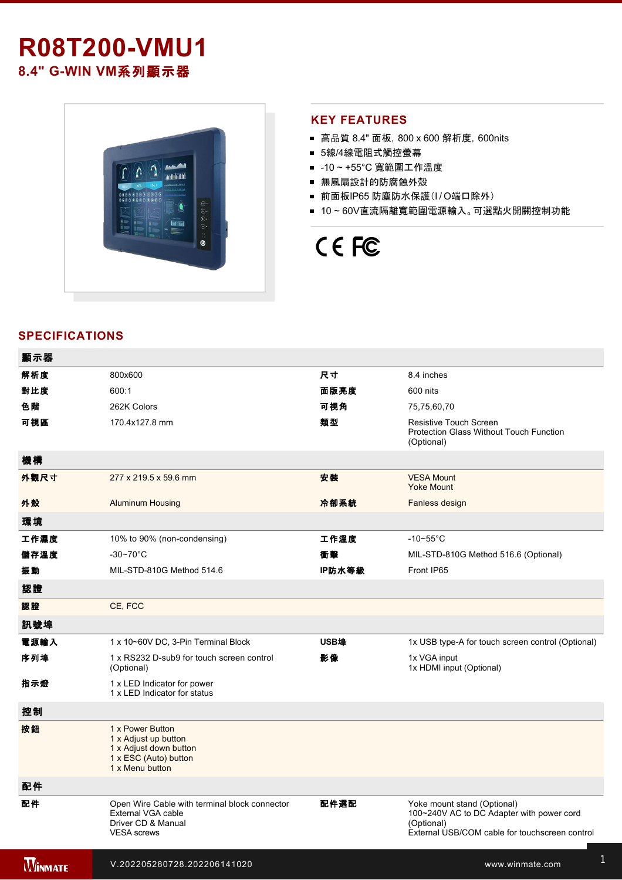# **R08T200-VMU1 8.4" G-WIN VM系列顯示器**



#### **KEY FEATURES**

- 高品質 8.4" 面板, 800 x 600 解析度, 600nits
- 5線/4線電阻式觸控螢幕
- -10~+55°C 寬範圍工作溫度
- 無風扇設計的防腐蝕外殼
- 前面板IP65 防塵防水保護(I/O端口除外)
- 10~60V直流隔離寬範圍電源輸入。可選點火開關控制功能

# CE FC

## **SPECIFICATIONS**

| 顯示器            |                                                                                                                 |        |                                                                                                                                          |
|----------------|-----------------------------------------------------------------------------------------------------------------|--------|------------------------------------------------------------------------------------------------------------------------------------------|
| 解析度            | 800x600                                                                                                         | 尺寸     | 8.4 inches                                                                                                                               |
| 對比度            | 600:1                                                                                                           | 面版亮度   | 600 nits                                                                                                                                 |
| 色階             | 262K Colors                                                                                                     | 可視角    | 75,75,60,70                                                                                                                              |
| 可視區            | 170.4x127.8 mm                                                                                                  | 類型     | Resistive Touch Screen<br><b>Protection Glass Without Touch Function</b><br>(Optional)                                                   |
| 機構             |                                                                                                                 |        |                                                                                                                                          |
| 外觀尺寸           | 277 x 219.5 x 59.6 mm                                                                                           | 安装     | <b>VESA Mount</b><br><b>Yoke Mount</b>                                                                                                   |
| 外殼             | <b>Aluminum Housing</b>                                                                                         | 冷卻系統   | Fanless design                                                                                                                           |
| 環境             |                                                                                                                 |        |                                                                                                                                          |
| 工作濕度           | 10% to 90% (non-condensing)                                                                                     | 工作溫度   | $-10-55$ °C                                                                                                                              |
| 儲存溫度           | $-30 - 70$ °C                                                                                                   | 衝擊     | MIL-STD-810G Method 516.6 (Optional)                                                                                                     |
| 振動             | MIL-STD-810G Method 514.6                                                                                       | IP防水等級 | Front IP65                                                                                                                               |
| 認證             |                                                                                                                 |        |                                                                                                                                          |
| 認證             | CE, FCC                                                                                                         |        |                                                                                                                                          |
| 訊號埠            |                                                                                                                 |        |                                                                                                                                          |
| 電源輸入           | 1 x 10~60V DC, 3-Pin Terminal Block                                                                             | USB埠   | 1x USB type-A for touch screen control (Optional)                                                                                        |
| 序列埠            | 1 x RS232 D-sub9 for touch screen control<br>(Optional)                                                         | 影像     | 1x VGA input<br>1x HDMI input (Optional)                                                                                                 |
| 指示燈            | 1 x LED Indicator for power<br>1 x LED Indicator for status                                                     |        |                                                                                                                                          |
| 控制             |                                                                                                                 |        |                                                                                                                                          |
| 按鈕             | 1 x Power Button<br>1 x Adjust up button<br>1 x Adjust down button<br>1 x ESC (Auto) button<br>1 x Menu button  |        |                                                                                                                                          |
| 配件             |                                                                                                                 |        |                                                                                                                                          |
| 配件             | Open Wire Cable with terminal block connector<br>External VGA cable<br>Driver CD & Manual<br><b>VESA</b> screws | 配件選配   | Yoke mount stand (Optional)<br>100~240V AC to DC Adapter with power cord<br>(Optional)<br>External USB/COM cable for touchscreen control |
| <b>WINMATE</b> | V.202205280728.202206141020                                                                                     |        | www.winmate.com                                                                                                                          |